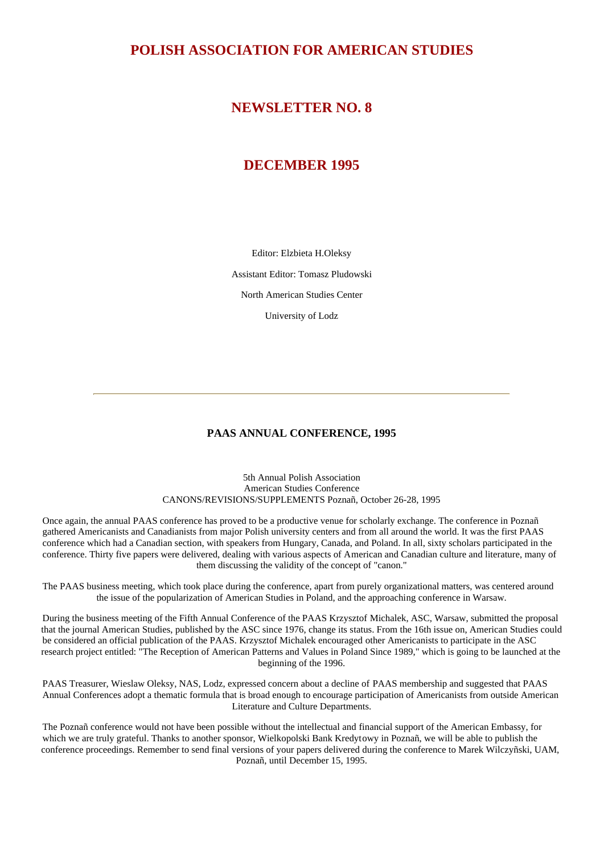# **POLISH ASSOCIATION FOR AMERICAN STUDIES**

# **NEWSLETTER NO. 8**

## **DECEMBER 1995**

Editor: Elzbieta H.Oleksy Assistant Editor: Tomasz Pludowski North American Studies Center University of Lodz

### **PAAS ANNUAL CONFERENCE, 1995**

5th Annual Polish Association American Studies Conference CANONS/REVISIONS/SUPPLEMENTS Poznañ, October 26-28, 1995

Once again, the annual PAAS conference has proved to be a productive venue for scholarly exchange. The conference in Poznañ gathered Americanists and Canadianists from major Polish university centers and from all around the world. It was the first PAAS conference which had a Canadian section, with speakers from Hungary, Canada, and Poland. In all, sixty scholars participated in the conference. Thirty five papers were delivered, dealing with various aspects of American and Canadian culture and literature, many of them discussing the validity of the concept of "canon."

The PAAS business meeting, which took place during the conference, apart from purely organizational matters, was centered around the issue of the popularization of American Studies in Poland, and the approaching conference in Warsaw.

During the business meeting of the Fifth Annual Conference of the PAAS Krzysztof Michalek, ASC, Warsaw, submitted the proposal that the journal American Studies, published by the ASC since 1976, change its status. From the 16th issue on, American Studies could be considered an official publication of the PAAS. Krzysztof Michalek encouraged other Americanists to participate in the ASC research project entitled: "The Reception of American Patterns and Values in Poland Since 1989," which is going to be launched at the beginning of the 1996.

PAAS Treasurer, Wieslaw Oleksy, NAS, Lodz, expressed concern about a decline of PAAS membership and suggested that PAAS Annual Conferences adopt a thematic formula that is broad enough to encourage participation of Americanists from outside American Literature and Culture Departments.

The Poznañ conference would not have been possible without the intellectual and financial support of the American Embassy, for which we are truly grateful. Thanks to another sponsor, Wielkopolski Bank Kredytowy in Poznañ, we will be able to publish the conference proceedings. Remember to send final versions of your papers delivered during the conference to Marek Wilczyñski, UAM, Poznañ, until December 15, 1995.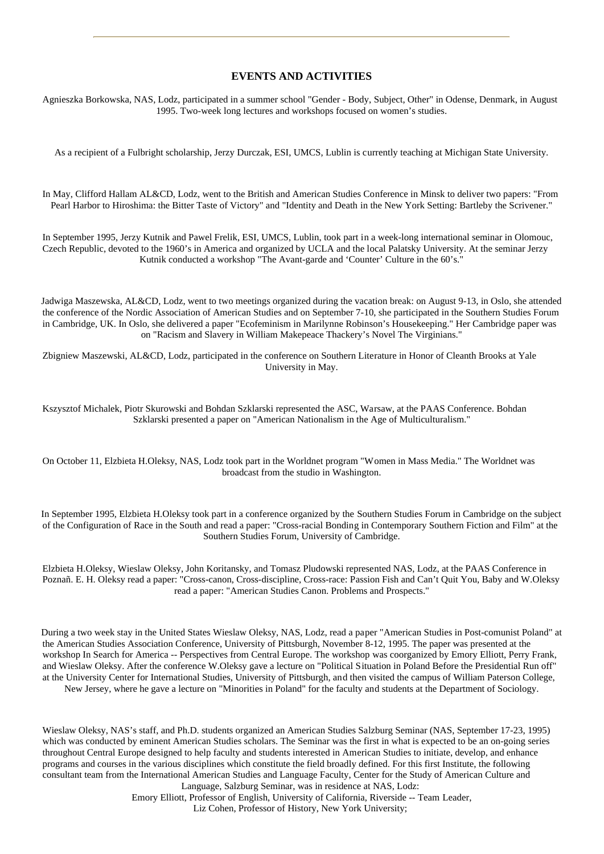### **EVENTS AND ACTIVITIES**

Agnieszka Borkowska, NAS, Lodz, participated in a summer school "Gender - Body, Subject, Other" in Odense, Denmark, in August 1995. Two-week long lectures and workshops focused on women's studies.

As a recipient of a Fulbright scholarship, Jerzy Durczak, ESI, UMCS, Lublin is currently teaching at Michigan State University.

In May, Clifford Hallam AL&CD, Lodz, went to the British and American Studies Conference in Minsk to deliver two papers: "From Pearl Harbor to Hiroshima: the Bitter Taste of Victory" and "Identity and Death in the New York Setting: Bartleby the Scrivener."

In September 1995, Jerzy Kutnik and Pawel Frelik, ESI, UMCS, Lublin, took part in a week-long international seminar in Olomouc, Czech Republic, devoted to the 1960's in America and organized by UCLA and the local Palatsky University. At the seminar Jerzy Kutnik conducted a workshop "The Avant-garde and 'Counter' Culture in the 60's."

Jadwiga Maszewska, AL&CD, Lodz, went to two meetings organized during the vacation break: on August 9-13, in Oslo, she attended the conference of the Nordic Association of American Studies and on September 7-10, she participated in the Southern Studies Forum in Cambridge, UK. In Oslo, she delivered a paper "Ecofeminism in Marilynne Robinson's Housekeeping." Her Cambridge paper was on "Racism and Slavery in William Makepeace Thackery's Novel The Virginians."

Zbigniew Maszewski, AL&CD, Lodz, participated in the conference on Southern Literature in Honor of Cleanth Brooks at Yale University in May.

Kszysztof Michalek, Piotr Skurowski and Bohdan Szklarski represented the ASC, Warsaw, at the PAAS Conference. Bohdan Szklarski presented a paper on "American Nationalism in the Age of Multiculturalism."

On October 11, Elzbieta H.Oleksy, NAS, Lodz took part in the Worldnet program "Women in Mass Media." The Worldnet was broadcast from the studio in Washington.

In September 1995, Elzbieta H.Oleksy took part in a conference organized by the Southern Studies Forum in Cambridge on the subject of the Configuration of Race in the South and read a paper: "Cross-racial Bonding in Contemporary Southern Fiction and Film" at the Southern Studies Forum, University of Cambridge.

Elzbieta H.Oleksy, Wieslaw Oleksy, John Koritansky, and Tomasz Pludowski represented NAS, Lodz, at the PAAS Conference in Poznañ. E. H. Oleksy read a paper: "Cross-canon, Cross-discipline, Cross-race: Passion Fish and Can't Quit You, Baby and W.Oleksy read a paper: "American Studies Canon. Problems and Prospects."

During a two week stay in the United States Wieslaw Oleksy, NAS, Lodz, read a paper "American Studies in Post-comunist Poland" at the American Studies Association Conference, University of Pittsburgh, November 8-12, 1995. The paper was presented at the workshop In Search for America -- Perspectives from Central Europe. The workshop was coorganized by Emory Elliott, Perry Frank, and Wieslaw Oleksy. After the conference W.Oleksy gave a lecture on "Political Situation in Poland Before the Presidential Run off" at the University Center for International Studies, University of Pittsburgh, and then visited the campus of William Paterson College, New Jersey, where he gave a lecture on "Minorities in Poland" for the faculty and students at the Department of Sociology.

Wieslaw Oleksy, NAS's staff, and Ph.D. students organized an American Studies Salzburg Seminar (NAS, September 17-23, 1995) which was conducted by eminent American Studies scholars. The Seminar was the first in what is expected to be an on-going series throughout Central Europe designed to help faculty and students interested in American Studies to initiate, develop, and enhance programs and courses in the various disciplines which constitute the field broadly defined. For this first Institute, the following consultant team from the International American Studies and Language Faculty, Center for the Study of American Culture and Language, Salzburg Seminar, was in residence at NAS, Lodz:

> Emory Elliott, Professor of English, University of California, Riverside -- Team Leader, Liz Cohen, Professor of History, New York University;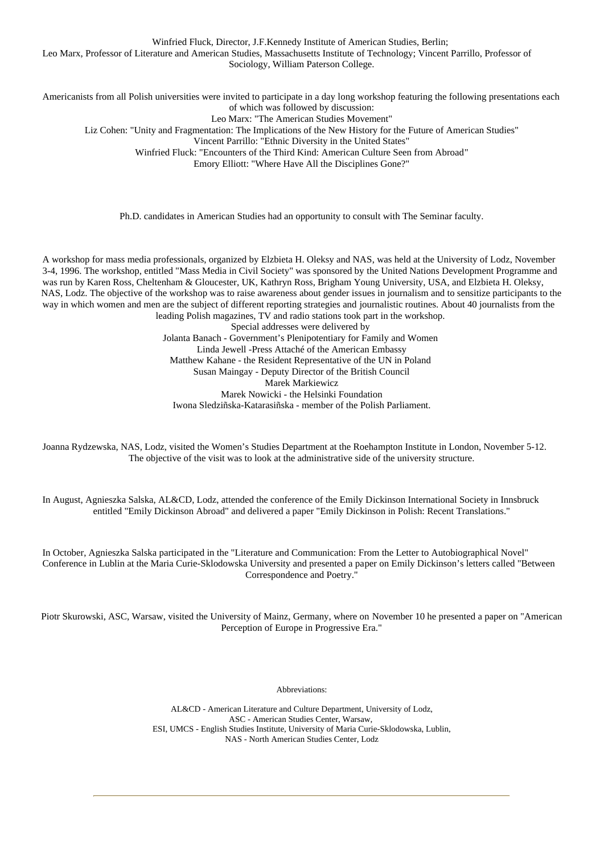Winfried Fluck, Director, J.F.Kennedy Institute of American Studies, Berlin; Leo Marx, Professor of Literature and American Studies, Massachusetts Institute of Technology; Vincent Parrillo, Professor of Sociology, William Paterson College.

Americanists from all Polish universities were invited to participate in a day long workshop featuring the following presentations each of which was followed by discussion:

Leo Marx: "The American Studies Movement"

Liz Cohen: "Unity and Fragmentation: The Implications of the New History for the Future of American Studies"

Vincent Parrillo: "Ethnic Diversity in the United States"

Winfried Fluck: "Encounters of the Third Kind: American Culture Seen from Abroad"

Emory Elliott: "Where Have All the Disciplines Gone?"

Ph.D. candidates in American Studies had an opportunity to consult with The Seminar faculty.

A workshop for mass media professionals, organized by Elzbieta H. Oleksy and NAS, was held at the University of Lodz, November 3-4, 1996. The workshop, entitled "Mass Media in Civil Society" was sponsored by the United Nations Development Programme and was run by Karen Ross, Cheltenham & Gloucester, UK, Kathryn Ross, Brigham Young University, USA, and Elzbieta H. Oleksy, NAS, Lodz. The objective of the workshop was to raise awareness about gender issues in journalism and to sensitize participants to the way in which women and men are the subject of different reporting strategies and journalistic routines. About 40 journalists from the leading Polish magazines, TV and radio stations took part in the workshop. Special addresses were delivered by Jolanta Banach - Government's Plenipotentiary for Family and Women

Linda Jewell -Press Attaché of the American Embassy Matthew Kahane - the Resident Representative of the UN in Poland Susan Maingay - Deputy Director of the British Council Marek Markiewicz Marek Nowicki - the Helsinki Foundation Iwona Sledziñska-Katarasiñska - member of the Polish Parliament.

Joanna Rydzewska, NAS, Lodz, visited the Women's Studies Department at the Roehampton Institute in London, November 5-12. The objective of the visit was to look at the administrative side of the university structure.

In August, Agnieszka Salska, AL&CD, Lodz, attended the conference of the Emily Dickinson International Society in Innsbruck entitled "Emily Dickinson Abroad" and delivered a paper "Emily Dickinson in Polish: Recent Translations."

In October, Agnieszka Salska participated in the "Literature and Communication: From the Letter to Autobiographical Novel" Conference in Lublin at the Maria Curie-Sklodowska University and presented a paper on Emily Dickinson's letters called "Between Correspondence and Poetry."

Piotr Skurowski, ASC, Warsaw, visited the University of Mainz, Germany, where on November 10 he presented a paper on "American Perception of Europe in Progressive Era."

Abbreviations:

AL&CD - American Literature and Culture Department, University of Lodz, ASC - American Studies Center, Warsaw, ESI, UMCS - English Studies Institute, University of Maria Curie-Sklodowska, Lublin, NAS - North American Studies Center, Lodz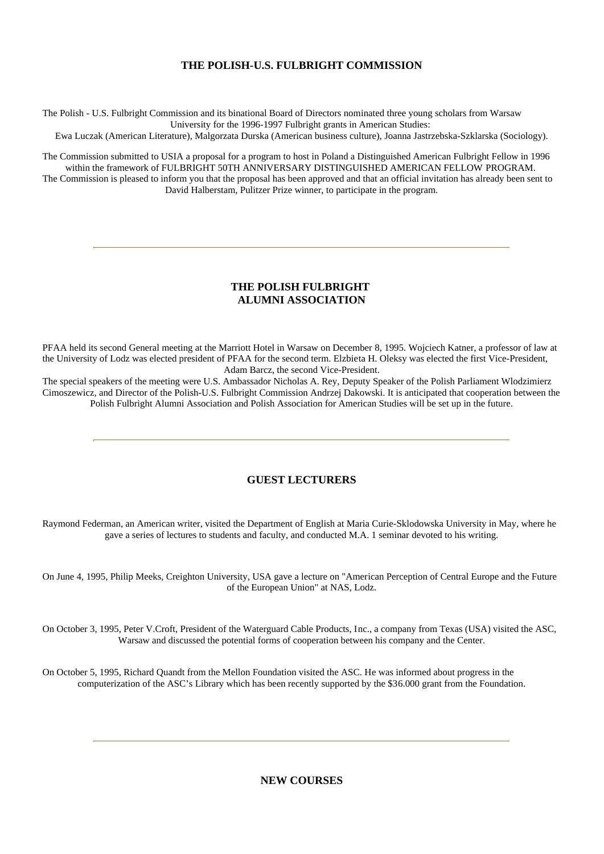## **THE POLISH-U.S. FULBRIGHT COMMISSION**

The Polish - U.S. Fulbright Commission and its binational Board of Directors nominated three young scholars from Warsaw University for the 1996-1997 Fulbright grants in American Studies:

Ewa Luczak (American Literature), Malgorzata Durska (American business culture), Joanna Jastrzebska-Szklarska (Sociology).

The Commission submitted to USIA a proposal for a program to host in Poland a Distinguished American Fulbright Fellow in 1996 within the framework of FULBRIGHT 50TH ANNIVERSARY DISTINGUISHED AMERICAN FELLOW PROGRAM. The Commission is pleased to inform you that the proposal has been approved and that an official invitation has already been sent to

David Halberstam, Pulitzer Prize winner, to participate in the program.

## **THE POLISH FULBRIGHT ALUMNI ASSOCIATION**

PFAA held its second General meeting at the Marriott Hotel in Warsaw on December 8, 1995. Wojciech Katner, a professor of law at the University of Lodz was elected president of PFAA for the second term. Elzbieta H. Oleksy was elected the first Vice-President, Adam Barcz, the second Vice-President.

The special speakers of the meeting were U.S. Ambassador Nicholas A. Rey, Deputy Speaker of the Polish Parliament Wlodzimierz Cimoszewicz, and Director of the Polish-U.S. Fulbright Commission Andrzej Dakowski. It is anticipated that cooperation between the Polish Fulbright Alumni Association and Polish Association for American Studies will be set up in the future.

## **GUEST LECTURERS**

Raymond Federman, an American writer, visited the Department of English at Maria Curie-Sklodowska University in May, where he gave a series of lectures to students and faculty, and conducted M.A. 1 seminar devoted to his writing.

On June 4, 1995, Philip Meeks, Creighton University, USA gave a lecture on "American Perception of Central Europe and the Future of the European Union" at NAS, Lodz.

On October 3, 1995, Peter V.Croft, President of the Waterguard Cable Products, Inc., a company from Texas (USA) visited the ASC, Warsaw and discussed the potential forms of cooperation between his company and the Center.

On October 5, 1995, Richard Quandt from the Mellon Foundation visited the ASC. He was informed about progress in the computerization of the ASC's Library which has been recently supported by the \$36.000 grant from the Foundation.

**NEW COURSES**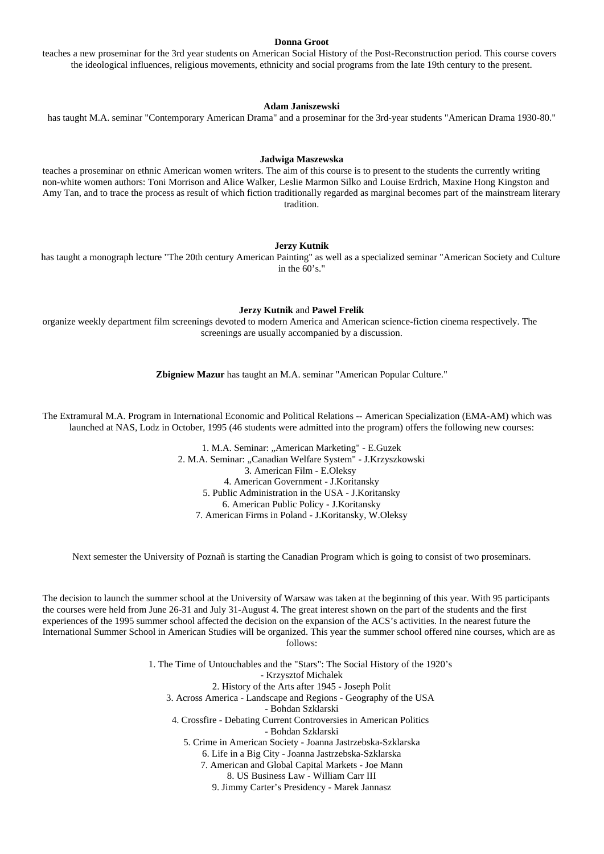#### **Donna Groot**

teaches a new proseminar for the 3rd year students on American Social History of the Post-Reconstruction period. This course covers the ideological influences, religious movements, ethnicity and social programs from the late 19th century to the present.

#### **Adam Janiszewski**

has taught M.A. seminar "Contemporary American Drama" and a proseminar for the 3rd-year students "American Drama 1930-80."

#### **Jadwiga Maszewska**

teaches a proseminar on ethnic American women writers. The aim of this course is to present to the students the currently writing non-white women authors: Toni Morrison and Alice Walker, Leslie Marmon Silko and Louise Erdrich, Maxine Hong Kingston and Amy Tan, and to trace the process as result of which fiction traditionally regarded as marginal becomes part of the mainstream literary tradition.

#### **Jerzy Kutnik**

has taught a monograph lecture "The 20th century American Painting" as well as a specialized seminar "American Society and Culture in the 60's."

#### **Jerzy Kutnik** and **Pawel Frelik**

organize weekly department film screenings devoted to modern America and American science-fiction cinema respectively. The screenings are usually accompanied by a discussion.

**Zbigniew Mazur** has taught an M.A. seminar "American Popular Culture."

The Extramural M.A. Program in International Economic and Political Relations -- American Specialization (EMA-AM) which was launched at NAS, Lodz in October, 1995 (46 students were admitted into the program) offers the following new courses:

> 1. M.A. Seminar: "American Marketing" - E.Guzek 2. M.A. Seminar: "Canadian Welfare System" - J.Krzyszkowski 3. American Film - E.Oleksy 4. American Government - J.Koritansky 5. Public Administration in the USA - J.Koritansky 6. American Public Policy - J.Koritansky 7. American Firms in Poland - J.Koritansky, W.Oleksy

Next semester the University of Poznañ is starting the Canadian Program which is going to consist of two proseminars.

The decision to launch the summer school at the University of Warsaw was taken at the beginning of this year. With 95 participants the courses were held from June 26-31 and July 31-August 4. The great interest shown on the part of the students and the first experiences of the 1995 summer school affected the decision on the expansion of the ACS's activities. In the nearest future the International Summer School in American Studies will be organized. This year the summer school offered nine courses, which are as follows:

> 1. The Time of Untouchables and the "Stars": The Social History of the 1920's - Krzysztof Michalek 2. History of the Arts after 1945 - Joseph Polit 3. Across America - Landscape and Regions - Geography of the USA - Bohdan Szklarski 4. Crossfire - Debating Current Controversies in American Politics - Bohdan Szklarski 5. Crime in American Society - Joanna Jastrzebska-Szklarska 6. Life in a Big City - Joanna Jastrzebska-Szklarska 7. American and Global Capital Markets - Joe Mann 8. US Business Law - William Carr III 9. Jimmy Carter's Presidency - Marek Jannasz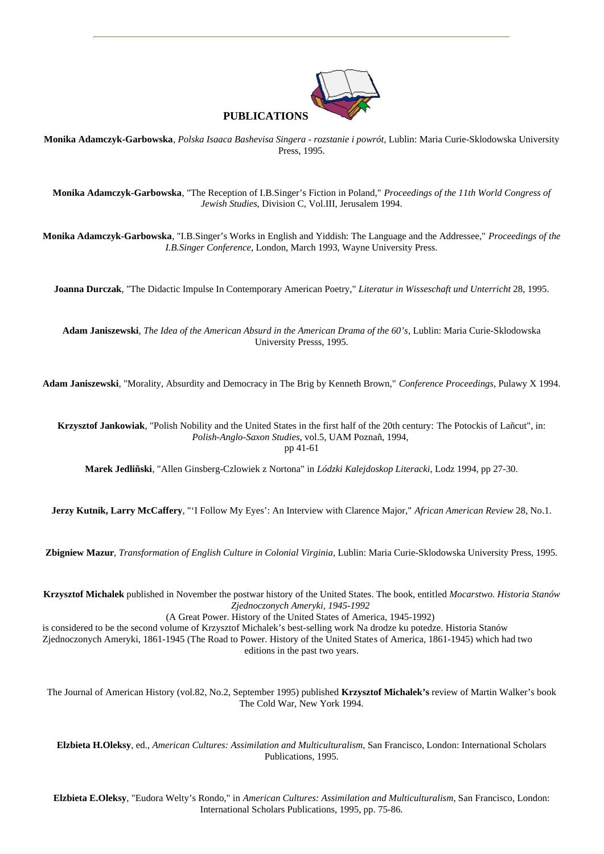

**Monika Adamczyk-Garbowska**, *Polska Isaaca Bashevisa Singera - rozstanie i powrót*, Lublin: Maria Curie-Sklodowska University Press, 1995.

**Monika Adamczyk-Garbowska**, "The Reception of I.B.Singer's Fiction in Poland," *Proceedings of the 11th World Congress of Jewish Studies*, Division C, Vol.III, Jerusalem 1994.

**Monika Adamczyk-Garbowska**, "I.B.Singer's Works in English and Yiddish: The Language and the Addressee," *Proceedings of the I.B.Singer Conference*, London, March 1993, Wayne University Press.

**Joanna Durczak**, "The Didactic Impulse In Contemporary American Poetry," *Literatur in Wisseschaft und Unterricht* 28, 1995.

**Adam Janiszewski**, *The Idea of the American Absurd in the American Drama of the 60's*, Lublin: Maria Curie-Sklodowska University Presss, 1995.

**Adam Janiszewski**, "Morality, Absurdity and Democracy in The Brig by Kenneth Brown," *Conference Proceedings*, Pulawy X 1994.

**Krzysztof Jankowiak**, "Polish Nobility and the United States in the first half of the 20th century: The Potockis of Lañcut", in: *Polish-Anglo-Saxon Studies*, vol.5, UAM Poznañ, 1994, pp 41-61

**Marek Jedliñski**, "Allen Ginsberg-Czlowiek z Nortona" in *Lódzki Kalejdoskop Literacki*, Lodz 1994, pp 27-30.

**Jerzy Kutnik, Larry McCaffery**, "'I Follow My Eyes': An Interview with Clarence Major," *African American Review* 28, No.1.

**Zbigniew Mazur**, *Transformation of English Culture in Colonial Virginia*, Lublin: Maria Curie-Sklodowska University Press, 1995.

**Krzysztof Michalek** published in November the postwar history of the United States. The book, entitled *Mocarstwo. Historia Stanów Zjednoczonych Ameryki, 1945-1992*

(A Great Power. History of the United States of America, 1945-1992) is considered to be the second volume of Krzysztof Michalek's best-selling work Na drodze ku potedze. Historia Stanów Zjednoczonych Ameryki, 1861-1945 (The Road to Power. History of the United States of America, 1861-1945) which had two editions in the past two years.

The Journal of American History (vol.82, No.2, September 1995) published **Krzysztof Michalek's** review of Martin Walker's book The Cold War, New York 1994.

**Elzbieta H.Oleksy**, ed., *American Cultures: Assimilation and Multiculturalism*, San Francisco, London: International Scholars Publications, 1995.

**Elzbieta E.Oleksy**, "Eudora Welty's Rondo," in *American Cultures: Assimilation and Multiculturalism*, San Francisco, London: International Scholars Publications, 1995, pp. 75-86.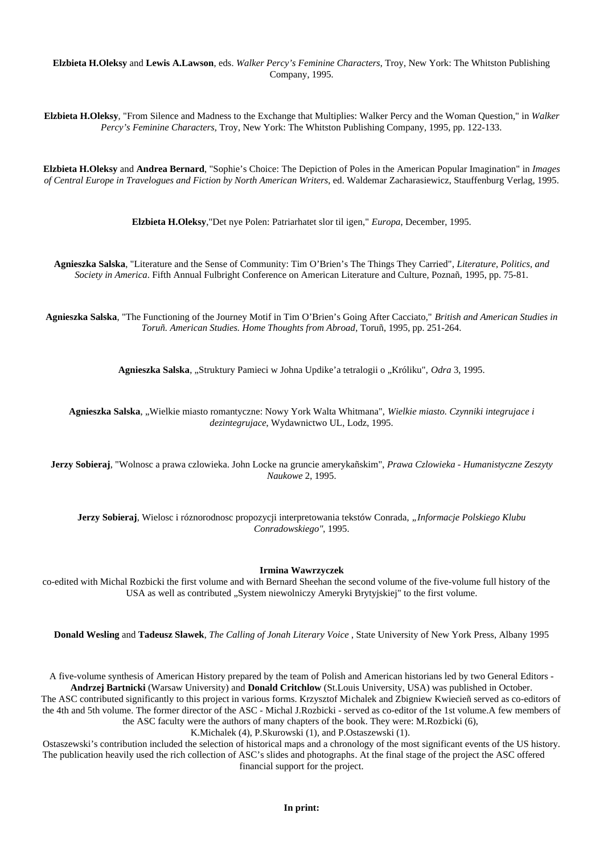### **Elzbieta H.Oleksy** and **Lewis A.Lawson**, eds. *Walker Percy's Feminine Characters*, Troy, New York: The Whitston Publishing Company, 1995.

**Elzbieta H.Oleksy**, "From Silence and Madness to the Exchange that Multiplies: Walker Percy and the Woman Question," in *Walker Percy's Feminine Characters*, Troy, New York: The Whitston Publishing Company, 1995, pp. 122-133.

**Elzbieta H.Oleksy** and **Andrea Bernard**, "Sophie's Choice: The Depiction of Poles in the American Popular Imagination" in *Images of Central Europe in Travelogues and Fiction by North American Writers*, ed. Waldemar Zacharasiewicz, Stauffenburg Verlag, 1995.

**Elzbieta H.Oleksy**,"Det nye Polen: Patriarhatet slor til igen," *Europa*, December, 1995.

**Agnieszka Salska**, "Literature and the Sense of Community: Tim O'Brien's The Things They Carried", *Literature, Politics, and Society in America*. Fifth Annual Fulbright Conference on American Literature and Culture, Poznañ, 1995, pp. 75-81.

**Agnieszka Salska**, "The Functioning of the Journey Motif in Tim O'Brien's Going After Cacciato," *British and American Studies in Toruñ. American Studies. Home Thoughts from Abroad*, Toruñ, 1995, pp. 251-264.

**Agnieszka Salska**, "Struktury Pamieci w Johna Updike'a tetralogii o "Króliku", *Odra* 3, 1995.

**Agnieszka Salska**, "Wielkie miasto romantyczne: Nowy York Walta Whitmana", *Wielkie miasto. Czynniki integrujace i dezintegrujace*, Wydawnictwo UL, Lodz, 1995.

**Jerzy Sobieraj**, "Wolnosc a prawa czlowieka. John Locke na gruncie amerykañskim", *Prawa Czlowieka - Humanistyczne Zeszyty Naukowe* 2, 1995.

**Jerzy Sobieraj**, Wielosc i róznorodnosc propozycji interpretowania tekstów Conrada, *"Informacje Polskiego Klubu Conradowskiego"*, 1995.

**Irmina Wawrzyczek**

co-edited with Michal Rozbicki the first volume and with Bernard Sheehan the second volume of the five-volume full history of the USA as well as contributed "System niewolniczy Ameryki Brytyjskiej" to the first volume.

**Donald Wesling** and **Tadeusz Slawek**, *The Calling of Jonah Literary Voice* , State University of New York Press, Albany 1995

A five-volume synthesis of American History prepared by the team of Polish and American historians led by two General Editors - **Andrzej Bartnicki** (Warsaw University) and **Donald Critchlow** (St.Louis University, USA) was published in October. The ASC contributed significantly to this project in various forms. Krzysztof Michalek and Zbigniew Kwiecieñ served as co-editors of

the 4th and 5th volume. The former director of the ASC - Michal J.Rozbicki - served as co-editor of the 1st volume.A few members of the ASC faculty were the authors of many chapters of the book. They were: M.Rozbicki (6), K.Michalek (4), P.Skurowski (1), and P.Ostaszewski (1).

Ostaszewski's contribution included the selection of historical maps and a chronology of the most significant events of the US history. The publication heavily used the rich collection of ASC's slides and photographs. At the final stage of the project the ASC offered financial support for the project.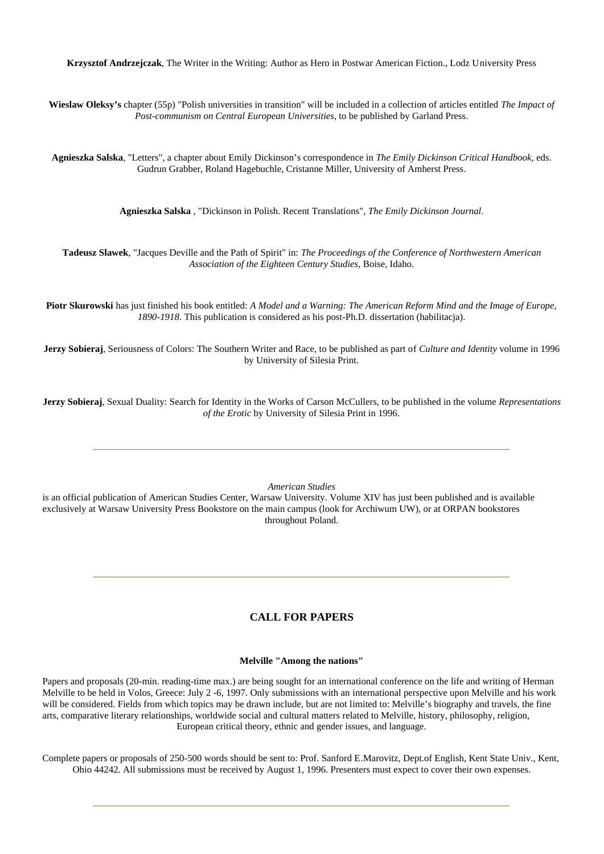**Krzysztof Andrzejczak**, The Writer in the Writing: Author as Hero in Postwar American Fiction., Lodz University Press

**Wieslaw Oleksy's** chapter (55p) "Polish universities in transition" will be included in a collection of articles entitled *The Impact of Post-communism on Central European Universities*, to be published by Garland Press.

**Agnieszka Salska**, "Letters", a chapter about Emily Dickinson's correspondence in *The Emily Dickinson Critical Handbook*, eds. Gudrun Grabber, Roland Hagebuchle, Cristanne Miller, University of Amherst Press.

**Agnieszka Salska** , "Dickinson in Polish. Recent Translations", *The Emily Dickinson Journal*.

**Tadeusz Slawek**, "Jacques Deville and the Path of Spirit" in: *The Proceedings of the Conference of Northwestern American Association of the Eighteen Century Studies*, Boise, Idaho.

**Piotr Skurowski** has just finished his book entitled: *A Model and a Warning: The American Reform Mind and the Image of Europe, 1890-1918*. This publication is considered as his post-Ph.D. dissertation (habilitacja).

**Jerzy Sobieraj**, Seriousness of Colors: The Southern Writer and Race, to be published as part of *Culture and Identity* volume in 1996 by University of Silesia Print.

**Jerzy Sobieraj**, Sexual Duality: Search for Identity in the Works of Carson McCullers, to be published in the volume *Representations of the Erotic* by University of Silesia Print in 1996.

#### *American Studies*

is an official publication of American Studies Center, Warsaw University. Volume XIV has just been published and is available exclusively at Warsaw University Press Bookstore on the main campus (look for Archiwum UW), or at ORPAN bookstores throughout Poland.

## **CALL FOR PAPERS**

#### **Melville "Among the nations"**

Papers and proposals (20-min. reading-time max.) are being sought for an international conference on the life and writing of Herman Melville to be held in Volos, Greece: July 2 -6, 1997. Only submissions with an international perspective upon Melville and his work will be considered. Fields from which topics may be drawn include, but are not limited to: Melville's biography and travels, the fine arts, comparative literary relationships, worldwide social and cultural matters related to Melville, history, philosophy, religion, European critical theory, ethnic and gender issues, and language.

Complete papers or proposals of 250-500 words should be sent to: Prof. Sanford E.Marovitz, Dept.of English, Kent State Univ., Kent, Ohio 44242. All submissions must be received by August 1, 1996. Presenters must expect to cover their own expenses.